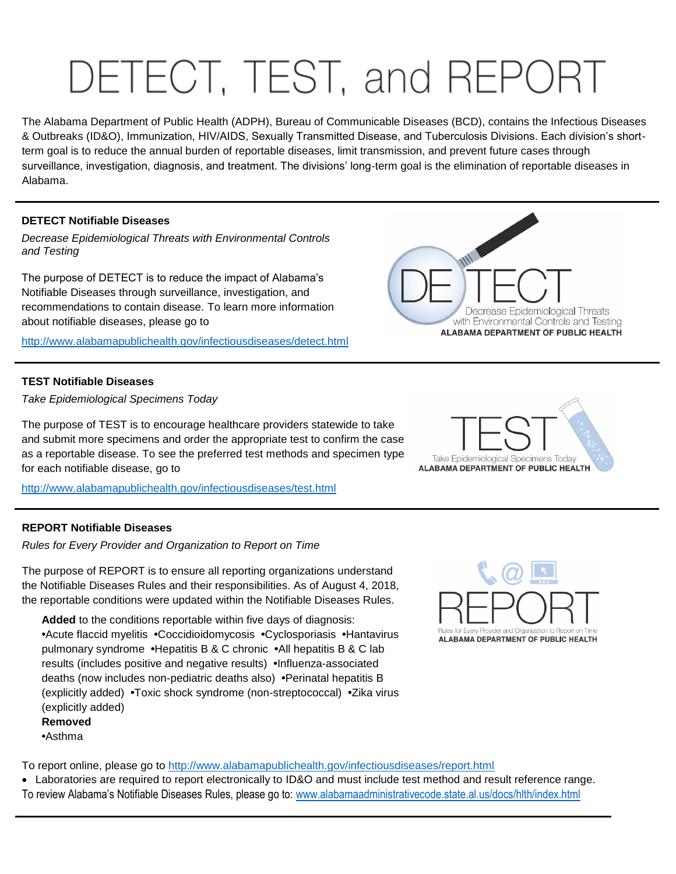# DETECT, TEST, and REPOR

The Alabama Department of Public Health (ADPH), Bureau of Communicable Diseases (BCD), contains the Infectious Diseases & Outbreaks (ID&O), Immunization, HIV/AIDS, Sexually Transmitted Disease, and Tuberculosis Divisions. Each division's shortterm goal is to reduce the annual burden of reportable diseases, limit transmission, and prevent future cases through surveillance, investigation, diagnosis, and treatment. The divisions' long-term goal is the elimination of reportable diseases in Alabama.

## **DETECT Notifiable Diseases**

*Decrease Epidemiological Threats with Environmental Controls and Testing*

The purpose of DETECT is to reduce the impact of Alabama's Notifiable Diseases through surveillance, investigation, and recommendations to contain disease. To learn more information about notifiable diseases, please go to

<http://www.alabamapublichealth.gov/infectiousdiseases/detect.html>

#### **TEST Notifiable Diseases**

*Take Epidemiological Specimens Today*

The purpose of TEST is to encourage healthcare providers statewide to take and submit more specimens and order the appropriate test to confirm the case as a reportable disease. To see the preferred test methods and specimen type for each notifiable disease, go to

<http://www.alabamapublichealth.gov/infectiousdiseases/test.html>

### **REPORT Notifiable Diseases**

*Rules for Every Provider and Organization to Report on Time*

The purpose of REPORT is to ensure all reporting organizations understand the Notifiable Diseases Rules and their responsibilities. As of August 4, 2018, the reportable conditions were updated within the Notifiable Diseases Rules.

**Added** to the conditions reportable within five days of diagnosis: **•**Acute flaccid myelitis **•**Coccidioidomycosis **•**Cyclosporiasis **•**Hantavirus pulmonary syndrome **•**Hepatitis B & C chronic **•**All hepatitis B & C lab results (includes positive and negative results) **•**Influenza-associated deaths (now includes non-pediatric deaths also) **•**Perinatal hepatitis B (explicitly added) **•**Toxic shock syndrome (non-streptococcal) **•**Zika virus (explicitly added)

**Removed •**Asthma

To report online, please go to<http://www.alabamapublichealth.gov/infectiousdiseases/report.html>

 Laboratories are required to report electronically to ID&O and must include test method and result reference range. To review Alabama's Notifiable Diseases Rules, please go to: [www.alabamaadministrativecode.state.al.us/docs/hlth/index.html](http://www.alabamaadministrativecode.state.al.us/docs/hlth/index.html)



ALABAMA DEPARTMENT OF PUBLIC HEALTH